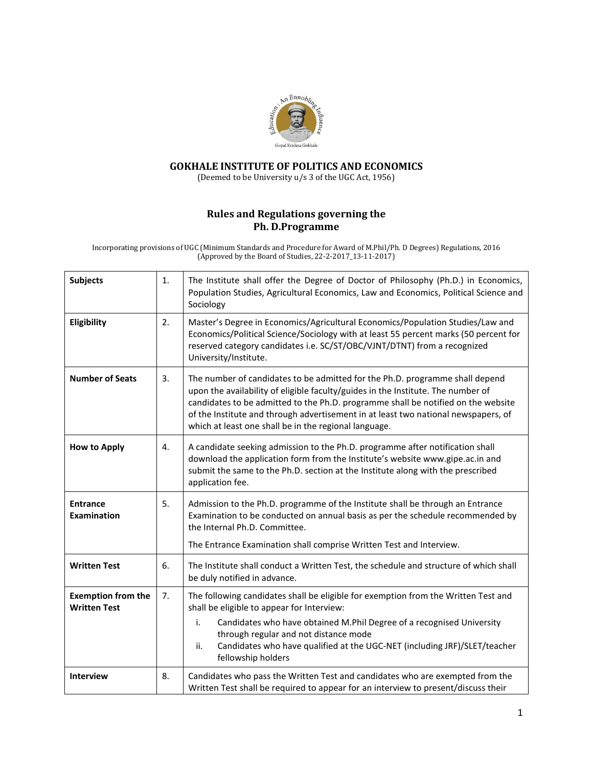

## **GOKHALE INSTITUTE OF POLITICS AND ECONOMICS**

(Deemed to be University u/s 3 of the UGC Act, 1956)

## **Rules and Regulations governing the Ph. D.Programme**

Incorporating provisions of UGC (Minimum Standards and Procedure for Award of M.Phil/Ph. D Degrees) Regulations, 2016 (Approved by the Board of Studies, 22-2-2017\_13-11-2017)

| <b>Subjects</b>                                  | 1. | The Institute shall offer the Degree of Doctor of Philosophy (Ph.D.) in Economics,<br>Population Studies, Agricultural Economics, Law and Economics, Political Science and<br>Sociology                                                                                                                                                                                                              |
|--------------------------------------------------|----|------------------------------------------------------------------------------------------------------------------------------------------------------------------------------------------------------------------------------------------------------------------------------------------------------------------------------------------------------------------------------------------------------|
| Eligibility                                      | 2. | Master's Degree in Economics/Agricultural Economics/Population Studies/Law and<br>Economics/Political Science/Sociology with at least 55 percent marks (50 percent for<br>reserved category candidates i.e. SC/ST/OBC/VJNT/DTNT) from a recognized<br>University/Institute.                                                                                                                          |
| <b>Number of Seats</b>                           | 3. | The number of candidates to be admitted for the Ph.D. programme shall depend<br>upon the availability of eligible faculty/guides in the Institute. The number of<br>candidates to be admitted to the Ph.D. programme shall be notified on the website<br>of the Institute and through advertisement in at least two national newspapers, of<br>which at least one shall be in the regional language. |
| <b>How to Apply</b>                              | 4. | A candidate seeking admission to the Ph.D. programme after notification shall<br>download the application form from the Institute's website www.gipe.ac.in and<br>submit the same to the Ph.D. section at the Institute along with the prescribed<br>application fee.                                                                                                                                |
| <b>Entrance</b><br><b>Examination</b>            | 5. | Admission to the Ph.D. programme of the Institute shall be through an Entrance<br>Examination to be conducted on annual basis as per the schedule recommended by<br>the Internal Ph.D. Committee.<br>The Entrance Examination shall comprise Written Test and Interview.                                                                                                                             |
| <b>Written Test</b>                              | 6. | The Institute shall conduct a Written Test, the schedule and structure of which shall<br>be duly notified in advance.                                                                                                                                                                                                                                                                                |
| <b>Exemption from the</b><br><b>Written Test</b> | 7. | The following candidates shall be eligible for exemption from the Written Test and<br>shall be eligible to appear for Interview:<br>i.<br>Candidates who have obtained M.Phil Degree of a recognised University<br>through regular and not distance mode<br>ii.<br>Candidates who have qualified at the UGC-NET (including JRF)/SLET/teacher<br>fellowship holders                                   |
| <b>Interview</b>                                 | 8. | Candidates who pass the Written Test and candidates who are exempted from the<br>Written Test shall be required to appear for an interview to present/discuss their                                                                                                                                                                                                                                  |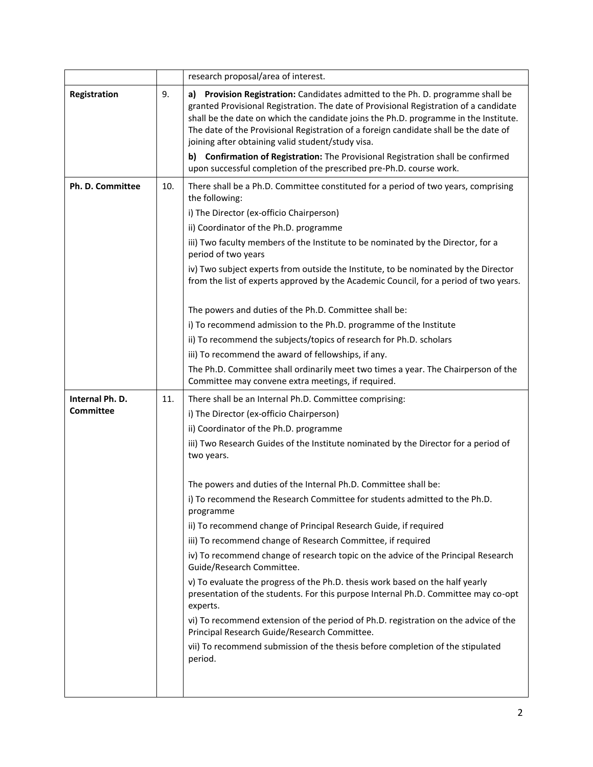|                  |     | research proposal/area of interest.                                                                                                                                                                                                                                                                                                                                                                                                                                                               |
|------------------|-----|---------------------------------------------------------------------------------------------------------------------------------------------------------------------------------------------------------------------------------------------------------------------------------------------------------------------------------------------------------------------------------------------------------------------------------------------------------------------------------------------------|
| Registration     | 9.  | a) Provision Registration: Candidates admitted to the Ph. D. programme shall be<br>granted Provisional Registration. The date of Provisional Registration of a candidate<br>shall be the date on which the candidate joins the Ph.D. programme in the Institute.<br>The date of the Provisional Registration of a foreign candidate shall be the date of<br>joining after obtaining valid student/study visa.<br>b) Confirmation of Registration: The Provisional Registration shall be confirmed |
|                  |     | upon successful completion of the prescribed pre-Ph.D. course work.                                                                                                                                                                                                                                                                                                                                                                                                                               |
| Ph. D. Committee | 10. | There shall be a Ph.D. Committee constituted for a period of two years, comprising<br>the following:                                                                                                                                                                                                                                                                                                                                                                                              |
|                  |     | i) The Director (ex-officio Chairperson)                                                                                                                                                                                                                                                                                                                                                                                                                                                          |
|                  |     | ii) Coordinator of the Ph.D. programme                                                                                                                                                                                                                                                                                                                                                                                                                                                            |
|                  |     | iii) Two faculty members of the Institute to be nominated by the Director, for a<br>period of two years                                                                                                                                                                                                                                                                                                                                                                                           |
|                  |     | iv) Two subject experts from outside the Institute, to be nominated by the Director<br>from the list of experts approved by the Academic Council, for a period of two years.                                                                                                                                                                                                                                                                                                                      |
|                  |     | The powers and duties of the Ph.D. Committee shall be:                                                                                                                                                                                                                                                                                                                                                                                                                                            |
|                  |     | i) To recommend admission to the Ph.D. programme of the Institute                                                                                                                                                                                                                                                                                                                                                                                                                                 |
|                  |     | ii) To recommend the subjects/topics of research for Ph.D. scholars                                                                                                                                                                                                                                                                                                                                                                                                                               |
|                  |     | iii) To recommend the award of fellowships, if any.                                                                                                                                                                                                                                                                                                                                                                                                                                               |
|                  |     | The Ph.D. Committee shall ordinarily meet two times a year. The Chairperson of the                                                                                                                                                                                                                                                                                                                                                                                                                |
|                  |     | Committee may convene extra meetings, if required.                                                                                                                                                                                                                                                                                                                                                                                                                                                |
|                  |     |                                                                                                                                                                                                                                                                                                                                                                                                                                                                                                   |
| Internal Ph. D.  | 11. | There shall be an Internal Ph.D. Committee comprising:                                                                                                                                                                                                                                                                                                                                                                                                                                            |
| <b>Committee</b> |     | i) The Director (ex-officio Chairperson)                                                                                                                                                                                                                                                                                                                                                                                                                                                          |
|                  |     | ii) Coordinator of the Ph.D. programme                                                                                                                                                                                                                                                                                                                                                                                                                                                            |
|                  |     | iii) Two Research Guides of the Institute nominated by the Director for a period of<br>two years.                                                                                                                                                                                                                                                                                                                                                                                                 |
|                  |     |                                                                                                                                                                                                                                                                                                                                                                                                                                                                                                   |
|                  |     | The powers and duties of the Internal Ph.D. Committee shall be:<br>i) To recommend the Research Committee for students admitted to the Ph.D.<br>programme                                                                                                                                                                                                                                                                                                                                         |
|                  |     | ii) To recommend change of Principal Research Guide, if required                                                                                                                                                                                                                                                                                                                                                                                                                                  |
|                  |     | iii) To recommend change of Research Committee, if required                                                                                                                                                                                                                                                                                                                                                                                                                                       |
|                  |     | iv) To recommend change of research topic on the advice of the Principal Research<br>Guide/Research Committee.                                                                                                                                                                                                                                                                                                                                                                                    |
|                  |     | v) To evaluate the progress of the Ph.D. thesis work based on the half yearly<br>presentation of the students. For this purpose Internal Ph.D. Committee may co-opt<br>experts.                                                                                                                                                                                                                                                                                                                   |
|                  |     | vi) To recommend extension of the period of Ph.D. registration on the advice of the<br>Principal Research Guide/Research Committee.                                                                                                                                                                                                                                                                                                                                                               |
|                  |     | vii) To recommend submission of the thesis before completion of the stipulated<br>period.                                                                                                                                                                                                                                                                                                                                                                                                         |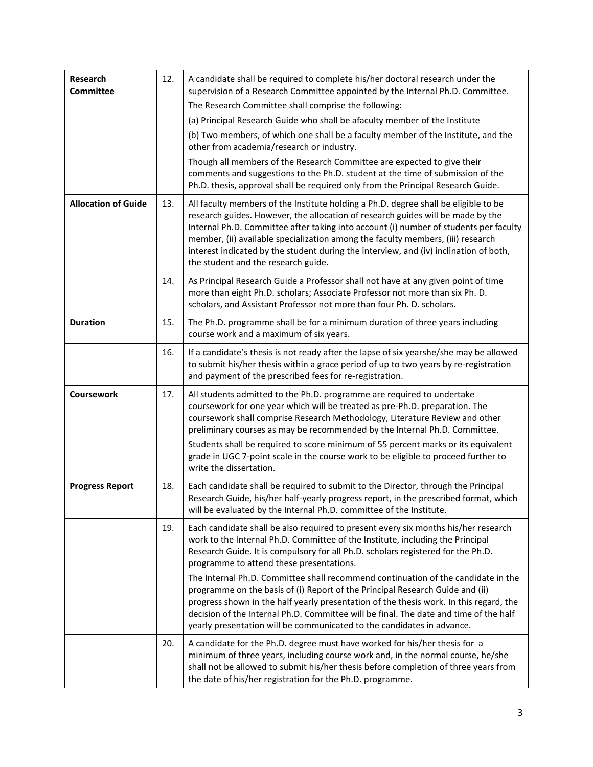| <b>Research</b><br><b>Committee</b> | 12. | A candidate shall be required to complete his/her doctoral research under the<br>supervision of a Research Committee appointed by the Internal Ph.D. Committee.                                                                                                                                                                                                                                                                                                                    |
|-------------------------------------|-----|------------------------------------------------------------------------------------------------------------------------------------------------------------------------------------------------------------------------------------------------------------------------------------------------------------------------------------------------------------------------------------------------------------------------------------------------------------------------------------|
|                                     |     | The Research Committee shall comprise the following:                                                                                                                                                                                                                                                                                                                                                                                                                               |
|                                     |     | (a) Principal Research Guide who shall be afaculty member of the Institute                                                                                                                                                                                                                                                                                                                                                                                                         |
|                                     |     | (b) Two members, of which one shall be a faculty member of the Institute, and the<br>other from academia/research or industry.                                                                                                                                                                                                                                                                                                                                                     |
|                                     |     | Though all members of the Research Committee are expected to give their<br>comments and suggestions to the Ph.D. student at the time of submission of the<br>Ph.D. thesis, approval shall be required only from the Principal Research Guide.                                                                                                                                                                                                                                      |
| <b>Allocation of Guide</b>          | 13. | All faculty members of the Institute holding a Ph.D. degree shall be eligible to be<br>research guides. However, the allocation of research guides will be made by the<br>Internal Ph.D. Committee after taking into account (i) number of students per faculty<br>member, (ii) available specialization among the faculty members, (iii) research<br>interest indicated by the student during the interview, and (iv) inclination of both,<br>the student and the research guide. |
|                                     | 14. | As Principal Research Guide a Professor shall not have at any given point of time<br>more than eight Ph.D. scholars; Associate Professor not more than six Ph.D.<br>scholars, and Assistant Professor not more than four Ph. D. scholars.                                                                                                                                                                                                                                          |
| <b>Duration</b>                     | 15. | The Ph.D. programme shall be for a minimum duration of three years including<br>course work and a maximum of six years.                                                                                                                                                                                                                                                                                                                                                            |
|                                     | 16. | If a candidate's thesis is not ready after the lapse of six yearshe/she may be allowed<br>to submit his/her thesis within a grace period of up to two years by re-registration<br>and payment of the prescribed fees for re-registration.                                                                                                                                                                                                                                          |
| Coursework                          | 17. | All students admitted to the Ph.D. programme are required to undertake<br>coursework for one year which will be treated as pre-Ph.D. preparation. The<br>coursework shall comprise Research Methodology, Literature Review and other<br>preliminary courses as may be recommended by the Internal Ph.D. Committee.<br>Students shall be required to score minimum of 55 percent marks or its equivalent                                                                            |
|                                     |     | grade in UGC 7-point scale in the course work to be eligible to proceed further to<br>write the dissertation.                                                                                                                                                                                                                                                                                                                                                                      |
| <b>Progress Report</b>              | 18. | Each candidate shall be required to submit to the Director, through the Principal<br>Research Guide, his/her half-yearly progress report, in the prescribed format, which<br>will be evaluated by the Internal Ph.D. committee of the Institute.                                                                                                                                                                                                                                   |
|                                     | 19. | Each candidate shall be also required to present every six months his/her research<br>work to the Internal Ph.D. Committee of the Institute, including the Principal<br>Research Guide. It is compulsory for all Ph.D. scholars registered for the Ph.D.<br>programme to attend these presentations.                                                                                                                                                                               |
|                                     |     | The Internal Ph.D. Committee shall recommend continuation of the candidate in the<br>programme on the basis of (i) Report of the Principal Research Guide and (ii)<br>progress shown in the half yearly presentation of the thesis work. In this regard, the<br>decision of the Internal Ph.D. Committee will be final. The date and time of the half<br>yearly presentation will be communicated to the candidates in advance.                                                    |
|                                     | 20. | A candidate for the Ph.D. degree must have worked for his/her thesis for a<br>minimum of three years, including course work and, in the normal course, he/she<br>shall not be allowed to submit his/her thesis before completion of three years from<br>the date of his/her registration for the Ph.D. programme.                                                                                                                                                                  |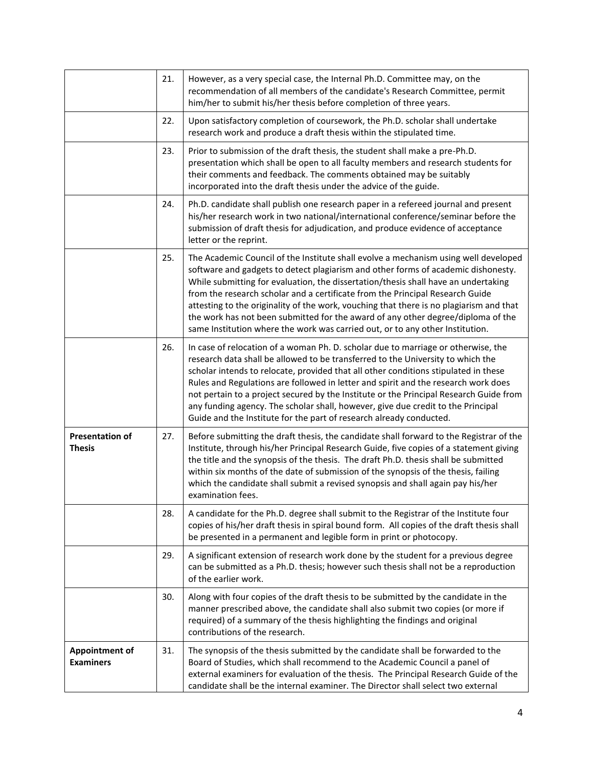|                                           | 21. | However, as a very special case, the Internal Ph.D. Committee may, on the<br>recommendation of all members of the candidate's Research Committee, permit<br>him/her to submit his/her thesis before completion of three years.                                                                                                                                                                                                                                                                                                                                                                                  |
|-------------------------------------------|-----|-----------------------------------------------------------------------------------------------------------------------------------------------------------------------------------------------------------------------------------------------------------------------------------------------------------------------------------------------------------------------------------------------------------------------------------------------------------------------------------------------------------------------------------------------------------------------------------------------------------------|
|                                           | 22. | Upon satisfactory completion of coursework, the Ph.D. scholar shall undertake<br>research work and produce a draft thesis within the stipulated time.                                                                                                                                                                                                                                                                                                                                                                                                                                                           |
|                                           | 23. | Prior to submission of the draft thesis, the student shall make a pre-Ph.D.<br>presentation which shall be open to all faculty members and research students for<br>their comments and feedback. The comments obtained may be suitably<br>incorporated into the draft thesis under the advice of the guide.                                                                                                                                                                                                                                                                                                     |
|                                           | 24. | Ph.D. candidate shall publish one research paper in a refereed journal and present<br>his/her research work in two national/international conference/seminar before the<br>submission of draft thesis for adjudication, and produce evidence of acceptance<br>letter or the reprint.                                                                                                                                                                                                                                                                                                                            |
|                                           | 25. | The Academic Council of the Institute shall evolve a mechanism using well developed<br>software and gadgets to detect plagiarism and other forms of academic dishonesty.<br>While submitting for evaluation, the dissertation/thesis shall have an undertaking<br>from the research scholar and a certificate from the Principal Research Guide<br>attesting to the originality of the work, vouching that there is no plagiarism and that<br>the work has not been submitted for the award of any other degree/diploma of the<br>same Institution where the work was carried out, or to any other Institution. |
|                                           | 26. | In case of relocation of a woman Ph. D. scholar due to marriage or otherwise, the<br>research data shall be allowed to be transferred to the University to which the<br>scholar intends to relocate, provided that all other conditions stipulated in these<br>Rules and Regulations are followed in letter and spirit and the research work does<br>not pertain to a project secured by the Institute or the Principal Research Guide from<br>any funding agency. The scholar shall, however, give due credit to the Principal<br>Guide and the Institute for the part of research already conducted.          |
| <b>Presentation of</b><br><b>Thesis</b>   | 27. | Before submitting the draft thesis, the candidate shall forward to the Registrar of the<br>Institute, through his/her Principal Research Guide, five copies of a statement giving<br>the title and the synopsis of the thesis. The draft Ph.D. thesis shall be submitted<br>within six months of the date of submission of the synopsis of the thesis, failing<br>which the candidate shall submit a revised synopsis and shall again pay his/her<br>examination fees.                                                                                                                                          |
|                                           | 28. | A candidate for the Ph.D. degree shall submit to the Registrar of the Institute four<br>copies of his/her draft thesis in spiral bound form. All copies of the draft thesis shall<br>be presented in a permanent and legible form in print or photocopy.                                                                                                                                                                                                                                                                                                                                                        |
|                                           | 29. | A significant extension of research work done by the student for a previous degree<br>can be submitted as a Ph.D. thesis; however such thesis shall not be a reproduction<br>of the earlier work.                                                                                                                                                                                                                                                                                                                                                                                                               |
|                                           | 30. | Along with four copies of the draft thesis to be submitted by the candidate in the<br>manner prescribed above, the candidate shall also submit two copies (or more if<br>required) of a summary of the thesis highlighting the findings and original<br>contributions of the research.                                                                                                                                                                                                                                                                                                                          |
| <b>Appointment of</b><br><b>Examiners</b> | 31. | The synopsis of the thesis submitted by the candidate shall be forwarded to the<br>Board of Studies, which shall recommend to the Academic Council a panel of<br>external examiners for evaluation of the thesis. The Principal Research Guide of the<br>candidate shall be the internal examiner. The Director shall select two external                                                                                                                                                                                                                                                                       |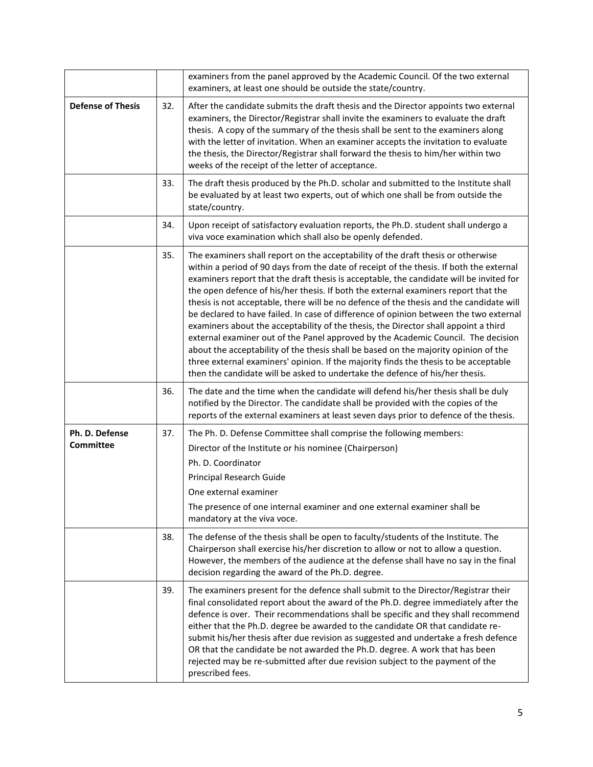|                                    |     | examiners from the panel approved by the Academic Council. Of the two external<br>examiners, at least one should be outside the state/country.                                                                                                                                                                                                                                                                                                                                                                                                                                                                                                                                                                                                                                                                                                                                                                                                                                              |
|------------------------------------|-----|---------------------------------------------------------------------------------------------------------------------------------------------------------------------------------------------------------------------------------------------------------------------------------------------------------------------------------------------------------------------------------------------------------------------------------------------------------------------------------------------------------------------------------------------------------------------------------------------------------------------------------------------------------------------------------------------------------------------------------------------------------------------------------------------------------------------------------------------------------------------------------------------------------------------------------------------------------------------------------------------|
| <b>Defense of Thesis</b>           | 32. | After the candidate submits the draft thesis and the Director appoints two external<br>examiners, the Director/Registrar shall invite the examiners to evaluate the draft<br>thesis. A copy of the summary of the thesis shall be sent to the examiners along<br>with the letter of invitation. When an examiner accepts the invitation to evaluate<br>the thesis, the Director/Registrar shall forward the thesis to him/her within two<br>weeks of the receipt of the letter of acceptance.                                                                                                                                                                                                                                                                                                                                                                                                                                                                                               |
|                                    | 33. | The draft thesis produced by the Ph.D. scholar and submitted to the Institute shall<br>be evaluated by at least two experts, out of which one shall be from outside the<br>state/country.                                                                                                                                                                                                                                                                                                                                                                                                                                                                                                                                                                                                                                                                                                                                                                                                   |
|                                    | 34. | Upon receipt of satisfactory evaluation reports, the Ph.D. student shall undergo a<br>viva voce examination which shall also be openly defended.                                                                                                                                                                                                                                                                                                                                                                                                                                                                                                                                                                                                                                                                                                                                                                                                                                            |
|                                    | 35. | The examiners shall report on the acceptability of the draft thesis or otherwise<br>within a period of 90 days from the date of receipt of the thesis. If both the external<br>examiners report that the draft thesis is acceptable, the candidate will be invited for<br>the open defence of his/her thesis. If both the external examiners report that the<br>thesis is not acceptable, there will be no defence of the thesis and the candidate will<br>be declared to have failed. In case of difference of opinion between the two external<br>examiners about the acceptability of the thesis, the Director shall appoint a third<br>external examiner out of the Panel approved by the Academic Council. The decision<br>about the acceptability of the thesis shall be based on the majority opinion of the<br>three external examiners' opinion. If the majority finds the thesis to be acceptable<br>then the candidate will be asked to undertake the defence of his/her thesis. |
|                                    | 36. | The date and the time when the candidate will defend his/her thesis shall be duly<br>notified by the Director. The candidate shall be provided with the copies of the<br>reports of the external examiners at least seven days prior to defence of the thesis.                                                                                                                                                                                                                                                                                                                                                                                                                                                                                                                                                                                                                                                                                                                              |
| Ph. D. Defense<br><b>Committee</b> | 37. | The Ph. D. Defense Committee shall comprise the following members:<br>Director of the Institute or his nominee (Chairperson)<br>Ph. D. Coordinator<br>Principal Research Guide<br>One external examiner<br>The presence of one internal examiner and one external examiner shall be<br>mandatory at the viva voce.                                                                                                                                                                                                                                                                                                                                                                                                                                                                                                                                                                                                                                                                          |
|                                    | 38. | The defense of the thesis shall be open to faculty/students of the Institute. The<br>Chairperson shall exercise his/her discretion to allow or not to allow a question.<br>However, the members of the audience at the defense shall have no say in the final<br>decision regarding the award of the Ph.D. degree.                                                                                                                                                                                                                                                                                                                                                                                                                                                                                                                                                                                                                                                                          |
|                                    | 39. | The examiners present for the defence shall submit to the Director/Registrar their<br>final consolidated report about the award of the Ph.D. degree immediately after the<br>defence is over. Their recommendations shall be specific and they shall recommend<br>either that the Ph.D. degree be awarded to the candidate OR that candidate re-<br>submit his/her thesis after due revision as suggested and undertake a fresh defence<br>OR that the candidate be not awarded the Ph.D. degree. A work that has been<br>rejected may be re-submitted after due revision subject to the payment of the<br>prescribed fees.                                                                                                                                                                                                                                                                                                                                                                 |